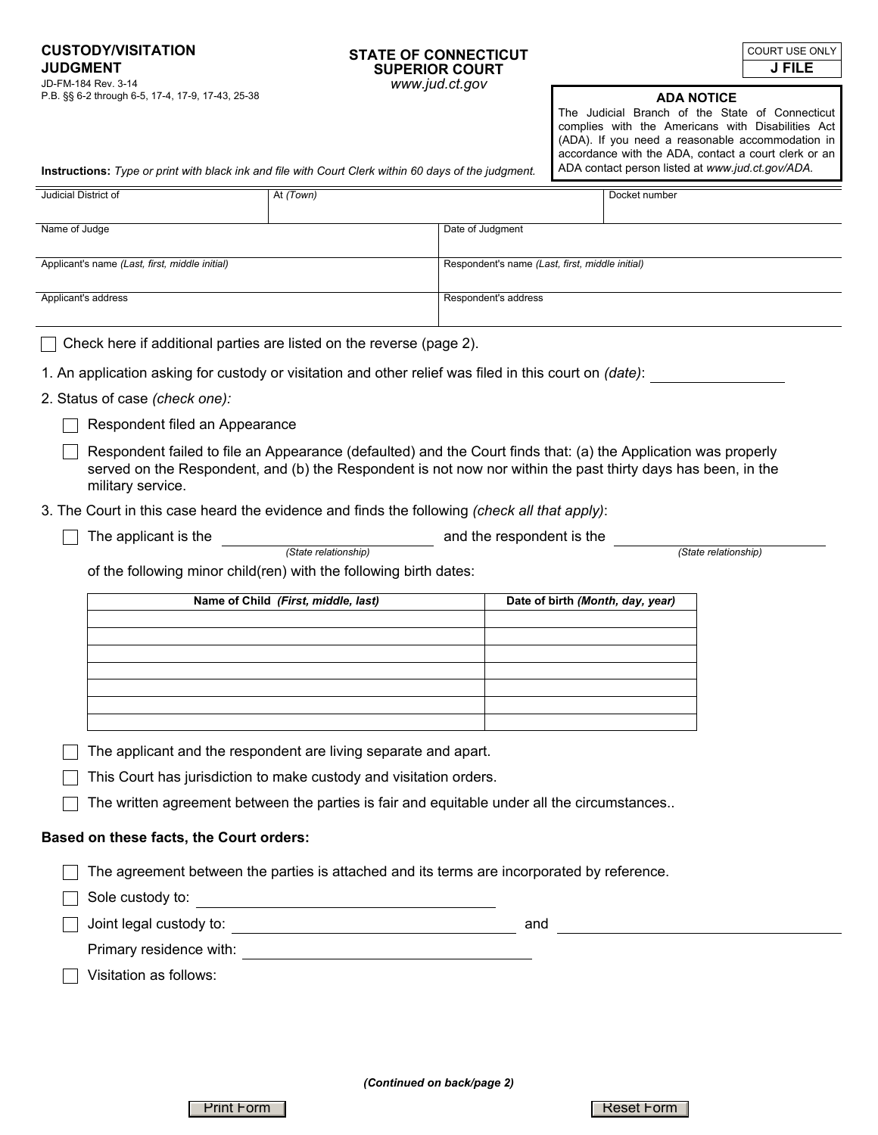**CUSTODY/VISITATION JUDGMENT**<br>JD-FM-184 Rev. 3-14 P.B. §§ 6-2 through 6-5, 17-4, 17-9, 17-43, 25-38

## **STATE OF CONNECTICUT SUPERIOR COURT**  www.jud.ct.gov

**J FILE** COURT USE ONLY

**ADA NOTICE** 

The Judicial Branch of the State of Connecticut complies with the Americans with Disabilities Act (ADA). If you need a reasonable accommodation in accordance with the ADA, contact a court clerk or an ADA contact person listed at *www.jud.ct.gov/ADA.*

**Instructions:** *Type or print with black ink and file with Court Clerk within 60 days of the judgment.*

| Judicial District of                                                                                                                                                                                                                                |                                                                                                                   | At (Town)                           |                                                 |                                  | Docket number |  |
|-----------------------------------------------------------------------------------------------------------------------------------------------------------------------------------------------------------------------------------------------------|-------------------------------------------------------------------------------------------------------------------|-------------------------------------|-------------------------------------------------|----------------------------------|---------------|--|
|                                                                                                                                                                                                                                                     |                                                                                                                   |                                     |                                                 |                                  |               |  |
| Name of Judge                                                                                                                                                                                                                                       |                                                                                                                   |                                     | Date of Judgment                                |                                  |               |  |
| Applicant's name (Last, first, middle initial)                                                                                                                                                                                                      |                                                                                                                   |                                     | Respondent's name (Last, first, middle initial) |                                  |               |  |
| Applicant's address                                                                                                                                                                                                                                 |                                                                                                                   |                                     | Respondent's address                            |                                  |               |  |
|                                                                                                                                                                                                                                                     |                                                                                                                   |                                     |                                                 |                                  |               |  |
|                                                                                                                                                                                                                                                     | Check here if additional parties are listed on the reverse (page 2).                                              |                                     |                                                 |                                  |               |  |
|                                                                                                                                                                                                                                                     | 1. An application asking for custody or visitation and other relief was filed in this court on (date):            |                                     |                                                 |                                  |               |  |
|                                                                                                                                                                                                                                                     | 2. Status of case (check one):                                                                                    |                                     |                                                 |                                  |               |  |
|                                                                                                                                                                                                                                                     | Respondent filed an Appearance                                                                                    |                                     |                                                 |                                  |               |  |
| Respondent failed to file an Appearance (defaulted) and the Court finds that: (a) the Application was properly<br>served on the Respondent, and (b) the Respondent is not now nor within the past thirty days has been, in the<br>military service. |                                                                                                                   |                                     |                                                 |                                  |               |  |
|                                                                                                                                                                                                                                                     | 3. The Court in this case heard the evidence and finds the following (check all that apply):                      |                                     |                                                 |                                  |               |  |
|                                                                                                                                                                                                                                                     | The applicant is the<br>and the respondent is the                                                                 |                                     |                                                 |                                  |               |  |
|                                                                                                                                                                                                                                                     | (State relationship)<br>(State relationship)<br>of the following minor child(ren) with the following birth dates: |                                     |                                                 |                                  |               |  |
|                                                                                                                                                                                                                                                     |                                                                                                                   | Name of Child (First, middle, last) |                                                 | Date of birth (Month, day, year) |               |  |
|                                                                                                                                                                                                                                                     |                                                                                                                   |                                     |                                                 |                                  |               |  |
|                                                                                                                                                                                                                                                     |                                                                                                                   |                                     |                                                 |                                  |               |  |
|                                                                                                                                                                                                                                                     |                                                                                                                   |                                     |                                                 |                                  |               |  |
|                                                                                                                                                                                                                                                     |                                                                                                                   |                                     |                                                 |                                  |               |  |
|                                                                                                                                                                                                                                                     |                                                                                                                   |                                     |                                                 |                                  |               |  |
|                                                                                                                                                                                                                                                     | The applicant and the respondent are living separate and apart.                                                   |                                     |                                                 |                                  |               |  |
|                                                                                                                                                                                                                                                     | This Court has jurisdiction to make custody and visitation orders.                                                |                                     |                                                 |                                  |               |  |
|                                                                                                                                                                                                                                                     | The written agreement between the parties is fair and equitable under all the circumstances                       |                                     |                                                 |                                  |               |  |
| Based on these facts, the Court orders:                                                                                                                                                                                                             |                                                                                                                   |                                     |                                                 |                                  |               |  |
|                                                                                                                                                                                                                                                     | The agreement between the parties is attached and its terms are incorporated by reference.                        |                                     |                                                 |                                  |               |  |
|                                                                                                                                                                                                                                                     | Sole custody to:                                                                                                  |                                     |                                                 |                                  |               |  |
|                                                                                                                                                                                                                                                     |                                                                                                                   |                                     |                                                 |                                  |               |  |
|                                                                                                                                                                                                                                                     |                                                                                                                   |                                     |                                                 |                                  |               |  |
|                                                                                                                                                                                                                                                     | Visitation as follows:                                                                                            |                                     |                                                 |                                  |               |  |
|                                                                                                                                                                                                                                                     |                                                                                                                   |                                     |                                                 |                                  |               |  |
|                                                                                                                                                                                                                                                     |                                                                                                                   |                                     |                                                 |                                  |               |  |
|                                                                                                                                                                                                                                                     |                                                                                                                   |                                     |                                                 |                                  |               |  |

*(Continued on back/page 2)*

Print Form **Reset Form**